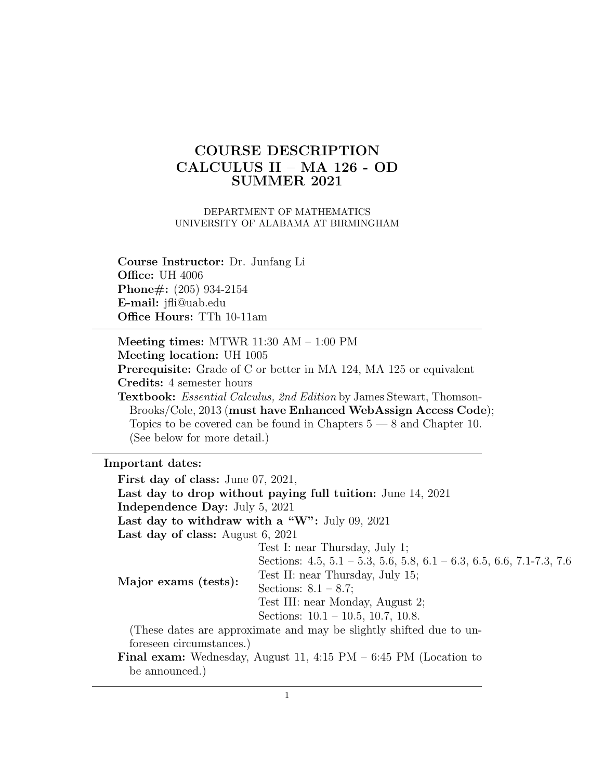# COURSE DESCRIPTION CALCULUS II – MA 126 - OD SUMMER 2021

DEPARTMENT OF MATHEMATICS UNIVERSITY OF ALABAMA AT BIRMINGHAM

Course Instructor: Dr. Junfang Li **Office: UH 4006** Phone#: (205) 934-2154 E-mail: jfli@uab.edu Office Hours: TTh 10-11am

Meeting times: MTWR 11:30 AM – 1:00 PM Meeting location: UH 1005 Prerequisite: Grade of C or better in MA 124, MA 125 or equivalent Credits: 4 semester hours

Textbook: Essential Calculus, 2nd Edition by James Stewart, Thomson-Brooks/Cole, 2013 (must have Enhanced WebAssign Access Code); Topics to be covered can be found in Chapters  $5 - 8$  and Chapter 10. (See below for more detail.)

Important dates:

First day of class: June 07, 2021, Last day to drop without paying full tuition: June 14, 2021 Independence Day: July 5, 2021 Last day to withdraw with a "W": July 09, 2021 Last day of class: August 6, 2021 Major exams (tests): Test I: near Thursday, July 1; Sections: 4.5, 5.1 – 5.3, 5.6, 5.8, 6.1 – 6.3, 6.5, 6.6, 7.1-7.3, 7.6 Test II: near Thursday, July 15; Sections:  $8.1 - 8.7$ ; Test III: near Monday, August 2; Sections: 10.1 – 10.5, 10.7, 10.8. (These dates are approximate and may be slightly shifted due to unforeseen circumstances.) Final exam: Wednesday, August 11, 4:15 PM – 6:45 PM (Location to be announced.)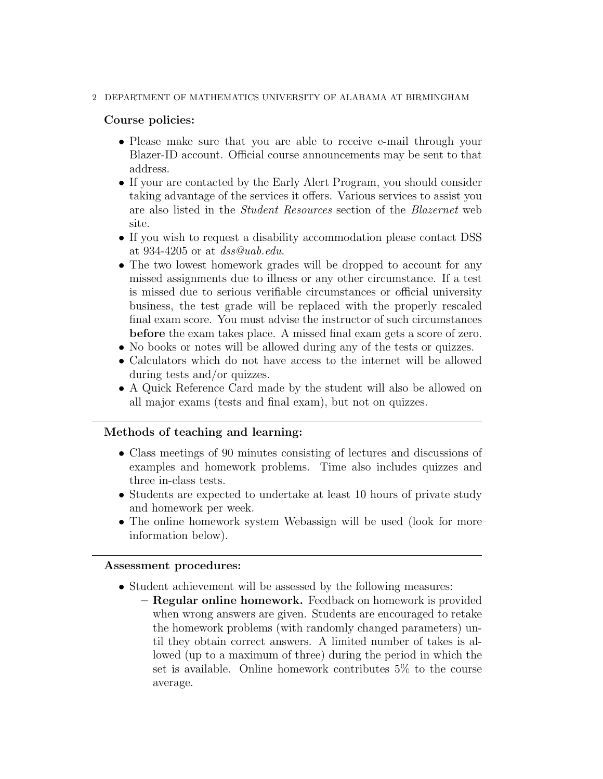### 2 DEPARTMENT OF MATHEMATICS UNIVERSITY OF ALABAMA AT BIRMINGHAM

### Course policies:

- Please make sure that you are able to receive e-mail through your Blazer-ID account. Official course announcements may be sent to that address.
- If your are contacted by the Early Alert Program, you should consider taking advantage of the services it offers. Various services to assist you are also listed in the Student Resources section of the Blazernet web site.
- If you wish to request a disability accommodation please contact DSS at 934-4205 or at  $dss@uab.edu$ .
- The two lowest homework grades will be dropped to account for any missed assignments due to illness or any other circumstance. If a test is missed due to serious verifiable circumstances or official university business, the test grade will be replaced with the properly rescaled final exam score. You must advise the instructor of such circumstances before the exam takes place. A missed final exam gets a score of zero.
- No books or notes will be allowed during any of the tests or quizzes.
- Calculators which do not have access to the internet will be allowed during tests and/or quizzes.
- A Quick Reference Card made by the student will also be allowed on all major exams (tests and final exam), but not on quizzes.

# Methods of teaching and learning:

- Class meetings of 90 minutes consisting of lectures and discussions of examples and homework problems. Time also includes quizzes and three in-class tests.
- Students are expected to undertake at least 10 hours of private study and homework per week.
- The online homework system Webassign will be used (look for more information below).

#### Assessment procedures:

- Student achievement will be assessed by the following measures:
	- Regular online homework. Feedback on homework is provided when wrong answers are given. Students are encouraged to retake the homework problems (with randomly changed parameters) until they obtain correct answers. A limited number of takes is allowed (up to a maximum of three) during the period in which the set is available. Online homework contributes 5% to the course average.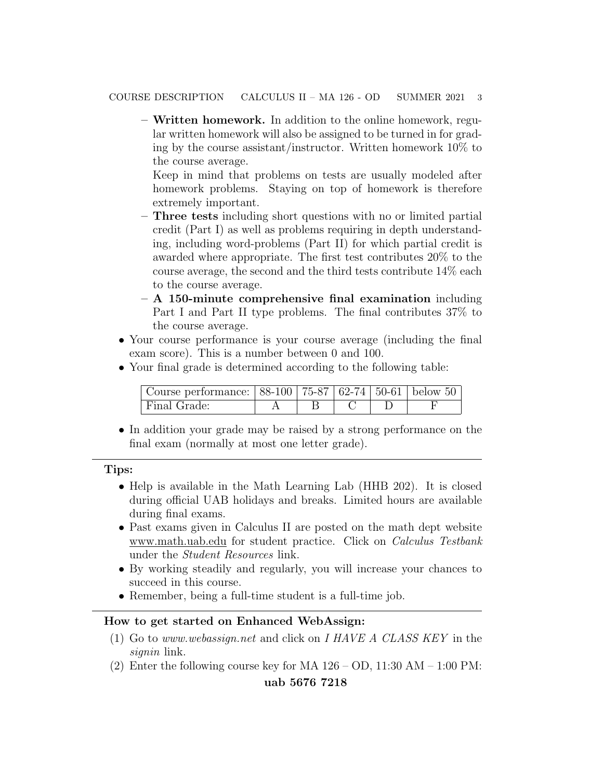– Written homework. In addition to the online homework, regular written homework will also be assigned to be turned in for grading by the course assistant/instructor. Written homework 10% to the course average.

Keep in mind that problems on tests are usually modeled after homework problems. Staying on top of homework is therefore extremely important.

- Three tests including short questions with no or limited partial credit (Part I) as well as problems requiring in depth understanding, including word-problems (Part II) for which partial credit is awarded where appropriate. The first test contributes 20% to the course average, the second and the third tests contribute 14% each to the course average.
- A 150-minute comprehensive final examination including Part I and Part II type problems. The final contributes 37% to the course average.
- Your course performance is your course average (including the final exam score). This is a number between 0 and 100.
- Your final grade is determined according to the following table:

| Course performance: $  88-100   75-87   62-74   50-61  $ below 50 |  |  |  |
|-------------------------------------------------------------------|--|--|--|
| Final Grade:                                                      |  |  |  |

• In addition your grade may be raised by a strong performance on the final exam (normally at most one letter grade).

# Tips:

- Help is available in the Math Learning Lab (HHB 202). It is closed during official UAB holidays and breaks. Limited hours are available during final exams.
- Past exams given in Calculus II are posted on the math dept website www.math.uab.edu for student practice. Click on Calculus Testbank under the Student Resources link.
- By working steadily and regularly, you will increase your chances to succeed in this course.
- Remember, being a full-time student is a full-time job.

# How to get started on Enhanced WebAssign:

- (1) Go to www.webassign.net and click on I HAVE A CLASS KEY in the signin link.
- (2) Enter the following course key for MA  $126 OD$ ,  $11:30 AM 1:00 PM$ :